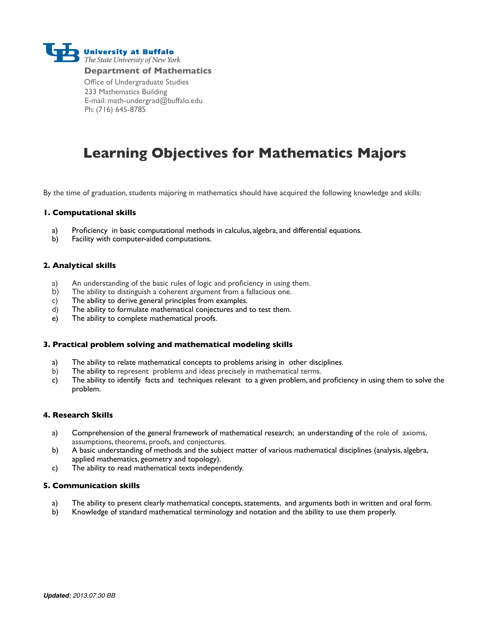

#### **Department of Mathematics**

Office of Undergraduate Studies 233 Mathematics Building E-mail: math-undergrad@buffalo.edu Ph: (716) 645-8785

## **Learning Objectives for Mathematics Majors**

By the time of graduation, students majoring in mathematics should have acquired the following knowledge and skills:

#### **1. Computational skills**

- a) Proficiency in basic computational methods in calculus, algebra, and differential equations.
- b) Facility with computer-aided computations.

### **2. Analytical skills**

- a) An understanding of the basic rules of logic and proficiency in using them.
- b) The ability to distinguish a coherent argument from a fallacious one.
- c) The ability to derive general principles from examples.
- d) The ability to formulate mathematical conjectures and to test them.
- e) The ability to complete mathematical proofs.

#### **3. Practical problem solving and mathematical modeling skills**

- a) The ability to relate mathematical concepts to problems arising in other disciplines.
- b) The ability to represent problems and ideas precisely in mathematical terms.
- c) The ability to identify facts and techniques relevant to a given problem, and proficiency in using them to solve the problem.

#### **4. Research Skills**

- a) Comprehension of the general framework of mathematical research; an understanding of the role of axioms, assumptions, theorems, proofs, and conjectures.
- b) A basic understanding of methods and the subject matter of various mathematical disciplines (analysis, algebra, applied mathematics, geometry and topology).
- c) The ability to read mathematical texts independently.

#### **5. Communication skills**

- a) The ability to present clearly mathematical concepts, statements, and arguments both in written and oral form.
- b) Knowledge of standard mathematical terminology and notation and the ability to use them properly.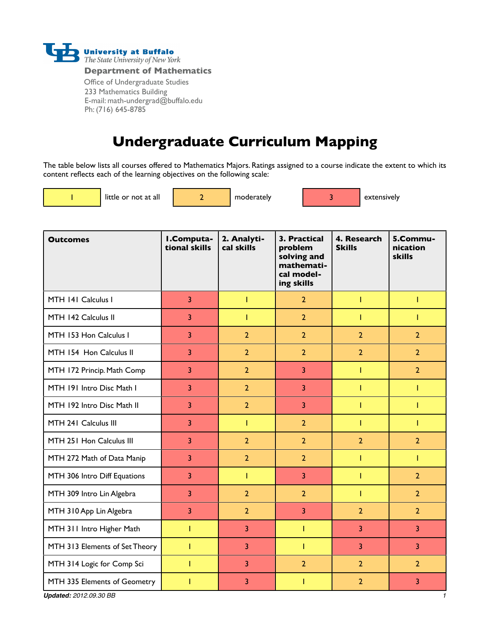

**Department of Mathematics**

Office of Undergraduate Studies 233 Mathematics Building E-mail: math-undergrad@buffalo.edu Ph: (716) 645-8785

# **Undergraduate Curriculum Mapping**

The table below lists all courses offered to Mathematics Majors. Ratings assigned to a course indicate the extent to which its content reflects each of the learning objectives on the following scale:

|  | <b>Contract Contract Contract Contract Contract Contract Contract Contract Contract Contract Contract Contract Co</b> |  |
|--|-----------------------------------------------------------------------------------------------------------------------|--|
|  |                                                                                                                       |  |
|  | ı                                                                                                                     |  |
|  |                                                                                                                       |  |
|  | <b>Contract Contract Contract Contract Contract Contract Contract Contract Contract Contract Contract Contract Co</b> |  |

little or not at all  $\begin{vmatrix} 2 & 1 \end{vmatrix}$  moderately  $\begin{vmatrix} 3 & 3 \end{vmatrix}$  extensively

| <b>Outcomes</b>                               | I.Computa-<br>tional skills | 2. Analyti-<br>cal skills | 3. Practical<br>problem<br>solving and<br>mathemati-<br>cal model-<br>ing skills | 4. Research<br><b>Skills</b> | 5.Commu-<br>nication<br>skills |
|-----------------------------------------------|-----------------------------|---------------------------|----------------------------------------------------------------------------------|------------------------------|--------------------------------|
| MTH 141 Calculus I                            | 3                           | T                         | $\overline{2}$                                                                   | T                            | T                              |
| MTH 142 Calculus II                           | 3                           | T                         | $\overline{2}$                                                                   | Т                            | T                              |
| MTH 153 Hon Calculus I                        | 3                           | $\overline{2}$            | $\overline{2}$                                                                   | $\overline{2}$               | $\overline{2}$                 |
| MTH 154 Hon Calculus II                       | 3                           | $\overline{2}$            | $\overline{2}$                                                                   | $\overline{2}$               | $\overline{2}$                 |
| MTH 172 Princip. Math Comp                    | 3                           | $\overline{2}$            | 3                                                                                | T                            | $\overline{2}$                 |
| MTH 191 Intro Disc Math I                     | 3                           | $\overline{2}$            | 3                                                                                | T                            | T                              |
| MTH 192 Intro Disc Math II                    | 3                           | $\overline{2}$            | 3                                                                                | т                            | T                              |
| MTH 241 Calculus III                          | $\overline{3}$              | Т                         | $\overline{2}$                                                                   | Т                            | T                              |
| MTH 251 Hon Calculus III                      | 3                           | $\overline{2}$            | $\overline{2}$                                                                   | $\overline{2}$               | $\overline{2}$                 |
| MTH 272 Math of Data Manip                    | 3                           | $\overline{2}$            | $\overline{2}$                                                                   | T                            | Т                              |
| MTH 306 Intro Diff Equations                  | 3                           | T                         | 3                                                                                | T                            | $\overline{2}$                 |
| MTH 309 Intro Lin Algebra                     | 3                           | $\overline{2}$            | $\overline{2}$                                                                   | Т                            | $\overline{2}$                 |
| MTH 310 App Lin Algebra                       | 3                           | $\overline{2}$            | 3                                                                                | $\overline{2}$               | $\overline{2}$                 |
| MTH 311 Intro Higher Math                     | T                           | 3                         | T                                                                                | 3                            | $\overline{3}$                 |
| MTH 313 Elements of Set Theory                | T                           | 3                         | T                                                                                | 3                            | 3                              |
| MTH 314 Logic for Comp Sci                    | T                           | 3                         | $\overline{2}$                                                                   | $\overline{2}$               | $\overline{2}$                 |
| MTH 335 Elements of Geometry                  | T                           | 3                         | Т                                                                                | $\overline{2}$               | 3                              |
| <b>Updated: 2012.09.30 BB</b><br>$\mathbf{1}$ |                             |                           |                                                                                  |                              |                                |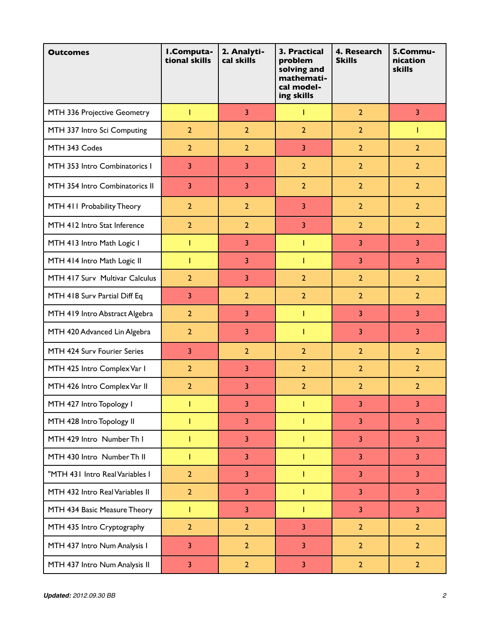| <b>Outcomes</b>                 | I.Computa-<br>tional skills | 2. Analyti-<br>cal skills | 3. Practical<br>problem<br>solving and<br>mathemati-<br>cal model-<br>ing skills | 4. Research<br><b>Skills</b> | 5.Commu-<br>nication<br><b>skills</b> |
|---------------------------------|-----------------------------|---------------------------|----------------------------------------------------------------------------------|------------------------------|---------------------------------------|
| MTH 336 Projective Geometry     | T                           | 3                         | T                                                                                | $\overline{2}$               | $\overline{3}$                        |
| MTH 337 Intro Sci Computing     | $\overline{2}$              | $\overline{2}$            | $\overline{2}$                                                                   | $\overline{2}$               | Т                                     |
| MTH 343 Codes                   | $\overline{2}$              | $\overline{2}$            | 3                                                                                | $\overline{2}$               | $\overline{2}$                        |
| MTH 353 Intro Combinatorics I   | $\overline{3}$              | 3                         | $\overline{2}$                                                                   | $\overline{2}$               | $\overline{2}$                        |
| MTH 354 Intro Combinatorics II  | 3                           | 3                         | $\overline{2}$                                                                   | $\overline{2}$               | $\overline{2}$                        |
| MTH 411 Probability Theory      | $\overline{2}$              | $\overline{2}$            | 3                                                                                | $\overline{2}$               | $\overline{2}$                        |
| MTH 412 Intro Stat Inference    | $\overline{2}$              | $\overline{2}$            | 3                                                                                | $\overline{2}$               | $\overline{2}$                        |
| MTH 413 Intro Math Logic I      | T                           | 3                         | T                                                                                | 3                            | 3                                     |
| MTH 414 Intro Math Logic II     | Т                           | 3                         | T                                                                                | 3                            | 3                                     |
| MTH 417 Surv Multivar Calculus  | $\overline{2}$              | 3                         | $\overline{2}$                                                                   | $\overline{2}$               | $\overline{2}$                        |
| MTH 418 Surv Partial Diff Eq    | 3                           | $\overline{2}$            | $\overline{2}$                                                                   | $\overline{2}$               | $\overline{2}$                        |
| MTH 419 Intro Abstract Algebra  | $\overline{2}$              | 3                         | T                                                                                | 3                            | 3                                     |
| MTH 420 Advanced Lin Algebra    | $\overline{2}$              | 3                         | T                                                                                | 3                            | 3                                     |
| MTH 424 Surv Fourier Series     | 3                           | $\overline{2}$            | $\overline{2}$                                                                   | $\overline{2}$               | $\overline{2}$                        |
| MTH 425 Intro Complex Var I     | $\overline{2}$              | 3                         | $\overline{2}$                                                                   | $\overline{2}$               | $\overline{2}$                        |
| MTH 426 Intro Complex Var II    | $\overline{2}$              | 3                         | $\overline{2}$                                                                   | $\overline{2}$               | $\overline{2}$                        |
| MTH 427 Intro Topology I        |                             | 3                         |                                                                                  | 3                            | 3                                     |
| MTH 428 Intro Topology II       | T                           | 3                         | T                                                                                | 3                            | 3                                     |
| MTH 429 Intro Number Th I       | T                           | $\overline{3}$            | T                                                                                | $\overline{3}$               | $\overline{3}$                        |
| MTH 430 Intro Number Th II      | Т                           | 3                         | T                                                                                | $\overline{3}$               | $\overline{3}$                        |
| "MTH 431 Intro Real Variables I | $\overline{2}$              | 3                         | T                                                                                | 3                            | 3                                     |
| MTH 432 Intro Real Variables II | $\overline{2}$              | 3                         | T                                                                                | $\overline{3}$               | $\overline{3}$                        |
| MTH 434 Basic Measure Theory    | T                           | 3                         | T                                                                                | $\overline{3}$               | 3                                     |
| MTH 435 Intro Cryptography      | $\overline{2}$              | $\overline{2}$            | 3                                                                                | $\overline{2}$               | $\overline{2}$                        |
| MTH 437 Intro Num Analysis I    | 3                           | $\overline{2}$            | 3                                                                                | $\overline{2}$               | $\overline{2}$                        |
| MTH 437 Intro Num Analysis II   | 3                           | $\overline{2}$            | 3                                                                                | $\overline{2}$               | $\overline{2}$                        |